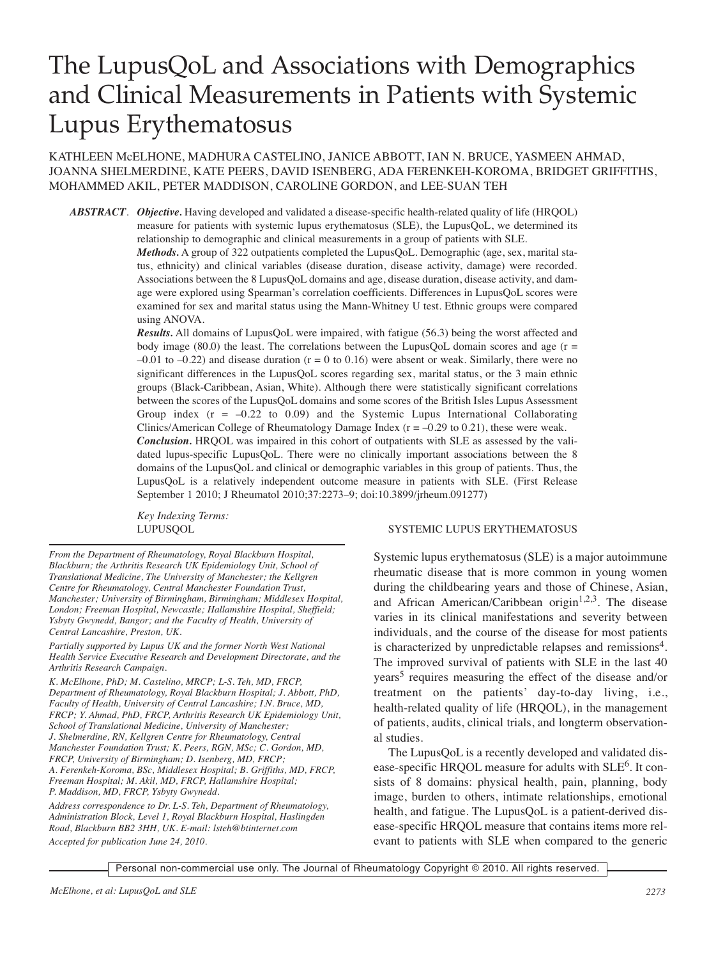# The LupusQoL and Associations with Demographics and Clinical Measurements in Patients with Systemic Lupus Erythematosus

# KATHLEEN McELHONE, MADHURA CASTELINO, JANICE ABBOTT, IAN N. BRUCE, YASMEEN AHMAD, JOANNA SHELMERDINE, KATE PEERS, DAVID ISENBERG, ADA FERENKEH-KOROMA, BRIDGET GRIFFITHS, MOHAMMED AKIL, PETER MADDISON, CAROLINE GORDON, and LEE-SUAN TEH

*ABSTRACT*. *Objective.* Having developed and validated a disease-specific health-related quality of life (HRQOL) measure for patients with systemic lupus erythematosus (SLE), the LupusQoL, we determined its relationship to demographic and clinical measurements in a group of patients with SLE.

*Methods.* A group of 322 outpatients completed the LupusQoL. Demographic (age, sex, marital status, ethnicity) and clinical variables (disease duration, disease activity, damage) were recorded. Associations between the 8 LupusQoL domains and age, disease duration, disease activity, and damage were explored using Spearman's correlation coefficients. Differences in LupusQoL scores were examined for sex and marital status using the Mann-Whitney U test. Ethnic groups were compared using ANOVA.

*Results.* All domains of LupusQoL were impaired, with fatigue (56.3) being the worst affected and body image (80.0) the least. The correlations between the LupusQoL domain scores and age ( $r =$  $-0.01$  to  $-0.22$ ) and disease duration (r = 0 to 0.16) were absent or weak. Similarly, there were no significant differences in the LupusQoL scores regarding sex, marital status, or the 3 main ethnic groups (Black-Caribbean, Asian, White). Although there were statistically significant correlations between the scores of the LupusQoL domains and some scores of the British Isles Lupus Assessment Group index  $(r = -0.22 \text{ to } 0.09)$  and the Systemic Lupus International Collaborating Clinics/American College of Rheumatology Damage Index ( $r = -0.29$  to 0.21), these were weak. *Conclusion.* HRQOL was impaired in this cohort of outpatients with SLE as assessed by the validated lupus-specific LupusQoL. There were no clinically important associations between the 8 domains of the LupusQoL and clinical or demographic variables in this group of patients. Thus, the LupusQoL is a relatively independent outcome measure in patients with SLE. (First Release September 1 2010; J Rheumatol 2010;37:2273–9; doi:10.3899/jrheum.091277)

*Key Indexing Terms:*

*From the Department of Rheumatology, Royal Blackburn Hospital, Blackburn; the Arthritis Research UK Epidemiology Unit, School of Translational Medicine, The University of Manchester; the Kellgren Centre for Rheumatology, Central Manchester Foundation Trust, Manchester; University of Birmingham, Birmingham; Middlesex Hospital, London; Freeman Hospital, Newcastle; Hallamshire Hospital, Sheffield; Ysbyty Gwynedd, Bangor; and the Faculty of Health, University of Central Lancashire, Preston, UK.*

*Partially supported by Lupus UK and the former North West National Health Service Executive Research and Development Directorate, and the Arthritis Research Campaign.*

*K. McElhone, PhD; M. Castelino, MRCP; L-S. Teh, MD, FRCP, Department of Rheumatology, Royal Blackburn Hospital; J. Abbott, PhD, Faculty of Health, University of Central Lancashire; I.N. Bruce, MD, FRCP; Y. Ahmad, PhD, FRCP, Arthritis Research UK Epidemiology Unit, School of Translational Medicine, University of Manchester; J. Shelmerdine, RN, Kellgren Centre for Rheumatology, Central Manchester Foundation Trust; K. Peers, RGN, MSc; C. Gordon, MD, FRCP, University of Birmingham; D. Isenberg, MD, FRCP; A. Ferenkeh-Koroma, BSc, Middlesex Hospital; B. Griffiths, MD, FRCP, Freeman Hospital; M. Akil, MD, FRCP, Hallamshire Hospital; P. Maddison, MD, FRCP, Ysbyty Gwynedd.*

*Address correspondence to Dr. L-S. Teh, Department of Rheumatology, Administration Block, Level 1, Royal Blackburn Hospital, Haslingden Road, Blackburn BB2 3HH, UK. E-mail: lsteh@btinternet.com Accepted for publication June 24, 2010.*

# LUPUSQOL SYSTEMIC LUPUS ERYTHEMATOSUS

Systemic lupus erythematosus (SLE) is a major autoimmune rheumatic disease that is more common in young women during the childbearing years and those of Chinese, Asian, and African American/Caribbean origin<sup>1,2,3</sup>. The disease varies in its clinical manifestations and severity between individuals, and the course of the disease for most patients is characterized by unpredictable relapses and remissions<sup>4</sup>. The improved survival of patients with SLE in the last 40 years<sup>5</sup> requires measuring the effect of the disease and/or treatment on the patients' day-to-day living, i.e., health-related quality of life (HRQOL), in the management of patients, audits, clinical trials, and longterm observational studies.

The LupusQoL is a recently developed and validated disease-specific HRQOL measure for adults with SLE<sup>6</sup>. It consists of 8 domains: physical health, pain, planning, body image, burden to others, intimate relationships, emotional health, and fatigue. The LupusQoL is a patient-derived disease-specific HRQOL measure that contains items more relevant to patients with SLE when compared to the generic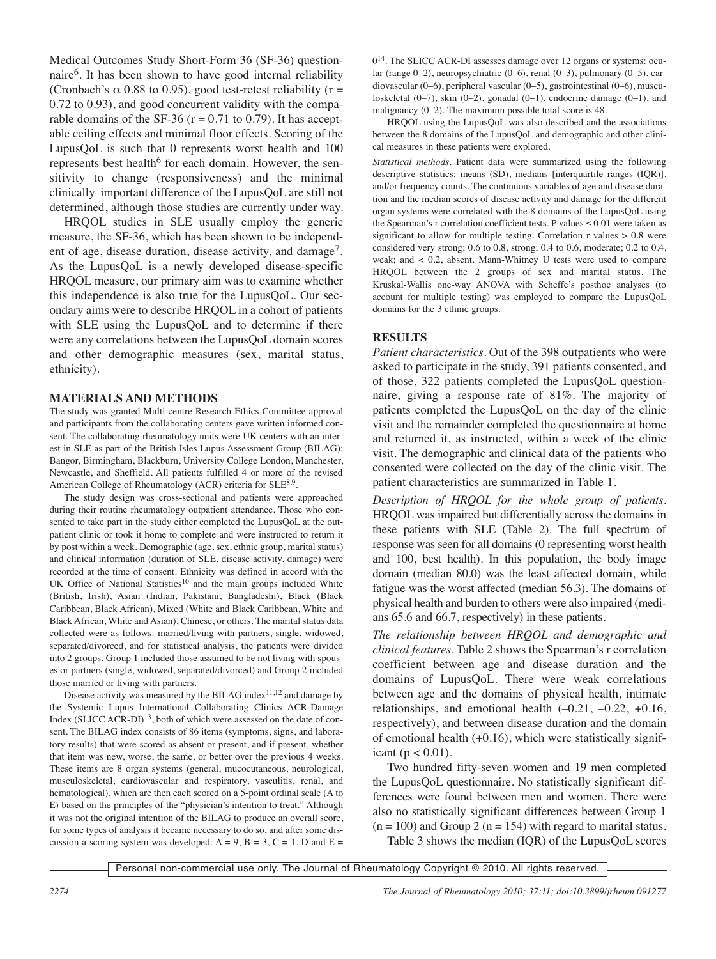Medical Outcomes Study Short-Form 36 (SF-36) questionnaire6. It has been shown to have good internal reliability (Cronbach's  $\alpha$  0.88 to 0.95), good test-retest reliability (r = 0.72 to 0.93), and good concurrent validity with the comparable domains of the SF-36 ( $r = 0.71$  to 0.79). It has acceptable ceiling effects and minimal floor effects. Scoring of the LupusQoL is such that 0 represents worst health and 100 represents best health<sup>6</sup> for each domain. However, the sensitivity to change (responsiveness) and the minimal clinically important difference of the LupusQoL are still not determined, although those studies are currently under way.

HRQOL studies in SLE usually employ the generic measure, the SF-36, which has been shown to be independent of age, disease duration, disease activity, and damage<sup>7</sup>. As the LupusQoL is a newly developed disease-specific HRQOL measure, our primary aim was to examine whether this independence is also true for the LupusQoL. Our secondary aims were to describe HRQOL in a cohort of patients with SLE using the LupusQoL and to determine if there were any correlations between the LupusQoL domain scores and other demographic measures (sex, marital status, ethnicity).

#### **MATERIALS AND METHODS**

The study was granted Multi-centre Research Ethics Committee approval and participants from the collaborating centers gave written informed consent. The collaborating rheumatology units were UK centers with an interest in SLE as part of the British Isles Lupus Assessment Group (BILAG): Bangor, Birmingham, Blackburn, University College London, Manchester, Newcastle, and Sheffield. All patients fulfilled 4 or more of the revised American College of Rheumatology (ACR) criteria for SLE<sup>8,9</sup>.

The study design was cross-sectional and patients were approached during their routine rheumatology outpatient attendance. Those who consented to take part in the study either completed the LupusQoL at the outpatient clinic or took it home to complete and were instructed to return it by post within a week. Demographic (age, sex, ethnic group, marital status) and clinical information (duration of SLE, disease activity, damage) were recorded at the time of consent. Ethnicity was defined in accord with the UK Office of National Statistics<sup>10</sup> and the main groups included White (British, Irish), Asian (Indian, Pakistani, Bangladeshi), Black (Black Caribbean, Black African), Mixed (White and Black Caribbean, White and Black African, White and Asian), Chinese, or others. The marital status data collected were as follows: married/living with partners, single, widowed, separated/divorced, and for statistical analysis, the patients were divided into 2 groups. Group 1 included those assumed to be not living with spouses or partners (single, widowed, separated/divorced) and Group 2 included those married or living with partners.

Disease activity was measured by the BILAG index<sup>11,12</sup> and damage by the Systemic Lupus International Collaborating Clinics ACR-Damage Index  $(SLICC ACR-DI)<sup>13</sup>$ , both of which were assessed on the date of consent. The BILAG index consists of 86 items (symptoms, signs, and laboratory results) that were scored as absent or present, and if present, whether that item was new, worse, the same, or better over the previous 4 weeks. These items are 8 organ systems (general, mucocutaneous, neurological, musculoskeletal, cardiovascular and respiratory, vasculitis, renal, and hematological), which are then each scored on a 5-point ordinal scale (A to E) based on the principles of the "physician's intention to treat." Although it was not the original intention of the BILAG to produce an overall score, for some types of analysis it became necessary to do so, and after some discussion a scoring system was developed:  $A = 9$ ,  $B = 3$ ,  $C = 1$ ,  $D$  and  $E =$ 

014. The SLICC ACR-DI assesses damage over 12 organs or systems: ocular (range 0–2), neuropsychiatric (0–6), renal (0–3), pulmonary (0–5), cardiovascular (0–6), peripheral vascular (0–5), gastrointestinal (0–6), musculoskeletal (0–7), skin (0–2), gonadal (0–1), endocrine damage (0–1), and malignancy  $(0-2)$ . The maximum possible total score is 48.

HRQOL using the LupusQoL was also described and the associations between the 8 domains of the LupusQoL and demographic and other clinical measures in these patients were explored.

*Statistical methods.* Patient data were summarized using the following descriptive statistics: means (SD), medians [interquartile ranges (IQR)], and/or frequency counts. The continuous variables of age and disease duration and the median scores of disease activity and damage for the different organ systems were correlated with the 8 domains of the LupusQoL using the Spearman's r correlation coefficient tests. P values  $\leq 0.01$  were taken as significant to allow for multiple testing. Correlation  $r$  values  $> 0.8$  were considered very strong; 0.6 to 0.8, strong; 0.4 to 0.6, moderate; 0.2 to 0.4, weak; and < 0.2, absent. Mann-Whitney U tests were used to compare HRQOL between the 2 groups of sex and marital status. The Kruskal-Wallis one-way ANOVA with Scheffe's posthoc analyses (to account for multiple testing) was employed to compare the LupusQoL domains for the 3 ethnic groups.

#### **RESULTS**

*Patient characteristics.* Out of the 398 outpatients who were asked to participate in the study, 391 patients consented, and of those, 322 patients completed the LupusQoL questionnaire, giving a response rate of 81%. The majority of patients completed the LupusQoL on the day of the clinic visit and the remainder completed the questionnaire at home and returned it, as instructed, within a week of the clinic visit. The demographic and clinical data of the patients who consented were collected on the day of the clinic visit. The patient characteristics are summarized in Table 1.

*Description of HRQOL for the whole group of patients.* HRQOL was impaired but differentially across the domains in these patients with SLE (Table 2). The full spectrum of response was seen for all domains (0 representing worst health and 100, best health). In this population, the body image domain (median 80.0) was the least affected domain, while fatigue was the worst affected (median 56.3). The domains of physical health and burden to others were also impaired (medians 65.6 and 66.7, respectively) in these patients.

*The relationship between HRQOL and demographic and clinical features.* Table 2 shows the Spearman's r correlation coefficient between age and disease duration and the domains of LupusQoL. There were weak correlations between age and the domains of physical health, intimate relationships, and emotional health  $(-0.21, -0.22, +0.16,$ respectively), and between disease duration and the domain of emotional health  $(+0.16)$ , which were statistically significant ( $p < 0.01$ ).

Two hundred fifty-seven women and 19 men completed the LupusQoL questionnaire. No statistically significant differences were found between men and women. There were also no statistically significant differences between Group 1  $(n = 100)$  and Group 2  $(n = 154)$  with regard to marital status. Table 3 shows the median (IQR) of the LupusQoL scores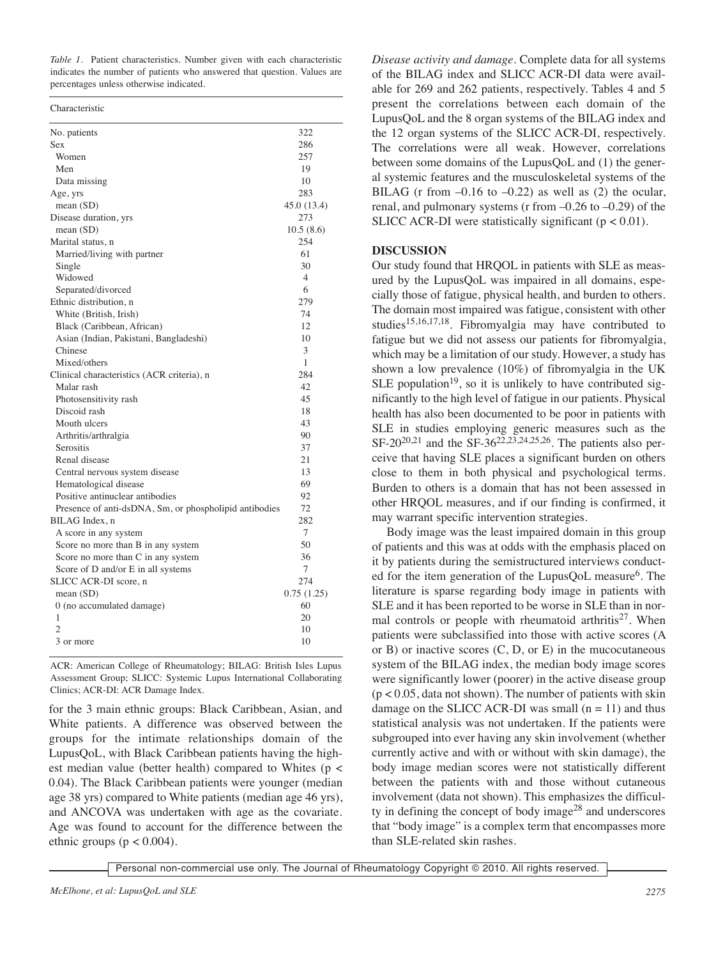*Table 1.* Patient characteristics. Number given with each characteristic indicates the number of patients who answered that question. Values are percentages unless otherwise indicated.

| No. patients                                           | 322            |
|--------------------------------------------------------|----------------|
| Sex                                                    | 286            |
| Women                                                  | 257            |
| Men                                                    | 19             |
| Data missing                                           | 10             |
| Age, yrs                                               | 283            |
| mean (SD)                                              | 45.0 (13.4)    |
| Disease duration, yrs                                  | 273            |
| mean $(SD)$                                            | 10.5(8.6)      |
| Marital status, n                                      | 254            |
| Married/living with partner                            | 61             |
| Single                                                 | 30             |
| Widowed                                                | $\overline{4}$ |
| Separated/divorced                                     | 6              |
| Ethnic distribution, n                                 | 279            |
| White (British, Irish)                                 | 74             |
| Black (Caribbean, African)                             | 12             |
| Asian (Indian, Pakistani, Bangladeshi)                 | 10             |
| Chinese                                                | 3              |
| Mixed/others                                           | 1              |
| Clinical characteristics (ACR criteria), n             | 284            |
| Malar rash                                             | 42             |
| Photosensitivity rash                                  | 45             |
| Discoid rash                                           | 18             |
| Mouth ulcers                                           | 43             |
| Arthritis/arthralgia                                   | 90             |
| Serositis                                              | 37             |
| Renal disease                                          | 21             |
| Central nervous system disease                         | 13             |
| Hematological disease                                  | 69             |
| Positive antinuclear antibodies                        | 92             |
| Presence of anti-dsDNA, Sm, or phospholipid antibodies | 72             |
| BILAG Index, n                                         | 282            |
| A score in any system                                  | 7              |
| Score no more than B in any system                     | 50             |
| Score no more than C in any system                     | 36             |
| Score of D and/or E in all systems                     | 7              |
| SLICC ACR-DI score, n                                  | 274            |
| mean $(SD)$                                            | 0.75(1.25)     |
| 0 (no accumulated damage)                              | 60             |
| 1                                                      | 20             |
| $\mathfrak{D}$                                         | 10             |
| 3 or more                                              | 10             |

ACR: American College of Rheumatology; BILAG: British Isles Lupus Assessment Group; SLICC: Systemic Lupus International Collaborating Clinics; ACR-DI: ACR Damage Index.

for the 3 main ethnic groups: Black Caribbean, Asian, and White patients. A difference was observed between the groups for the intimate relationships domain of the LupusQoL, with Black Caribbean patients having the highest median value (better health) compared to Whites (p < 0.04). The Black Caribbean patients were younger (median age 38 yrs) compared to White patients (median age 46 yrs), and ANCOVA was undertaken with age as the covariate. Age was found to account for the difference between the ethnic groups ( $p < 0.004$ ).

*Disease activity and damage.* Complete data for all systems of the BILAG index and SLICC ACR-DI data were available for 269 and 262 patients, respectively. Tables 4 and 5 present the correlations between each domain of the LupusQoL and the 8 organ systems of the BILAG index and the 12 organ systems of the SLICC ACR-DI, respectively. The correlations were all weak. However, correlations between some domains of the LupusQoL and (1) the general systemic features and the musculoskeletal systems of the BILAG (r from  $-0.16$  to  $-0.22$ ) as well as (2) the ocular, renal, and pulmonary systems (r from  $-0.26$  to  $-0.29$ ) of the SLICC ACR-DI were statistically significant ( $p < 0.01$ ).

# **DISCUSSION**

Our study found that HRQOL in patients with SLE as measured by the LupusQoL was impaired in all domains, especially those of fatigue, physical health, and burden to others. The domain most impaired was fatigue, consistent with other studies15,16,17,18. Fibromyalgia may have contributed to fatigue but we did not assess our patients for fibromyalgia, which may be a limitation of our study. However, a study has shown a low prevalence (10%) of fibromyalgia in the UK SLE population<sup>19</sup>, so it is unlikely to have contributed significantly to the high level of fatigue in our patients. Physical health has also been documented to be poor in patients with SLE in studies employing generic measures such as the  $SF-20^{20,21}$  and the  $SF-36^{22,23,24,25,26}$ . The patients also perceive that having SLE places a significant burden on others close to them in both physical and psychological terms. Burden to others is a domain that has not been assessed in other HRQOL measures, and if our finding is confirmed, it may warrant specific intervention strategies.

Body image was the least impaired domain in this group of patients and this was at odds with the emphasis placed on it by patients during the semistructured interviews conducted for the item generation of the LupusQoL measure<sup>6</sup>. The literature is sparse regarding body image in patients with SLE and it has been reported to be worse in SLE than in normal controls or people with rheumatoid arthritis<sup>27</sup>. When patients were subclassified into those with active scores (A or  $B$ ) or inactive scores  $(C, D, or E)$  in the mucocutaneous system of the BILAG index, the median body image scores were significantly lower (poorer) in the active disease group  $(p < 0.05$ , data not shown). The number of patients with skin damage on the SLICC ACR-DI was small  $(n = 11)$  and thus statistical analysis was not undertaken. If the patients were subgrouped into ever having any skin involvement (whether currently active and with or without with skin damage), the body image median scores were not statistically different between the patients with and those without cutaneous involvement (data not shown). This emphasizes the difficulty in defining the concept of body image<sup>28</sup> and underscores that "body image" is a complex term that encompasses more than SLE-related skin rashes.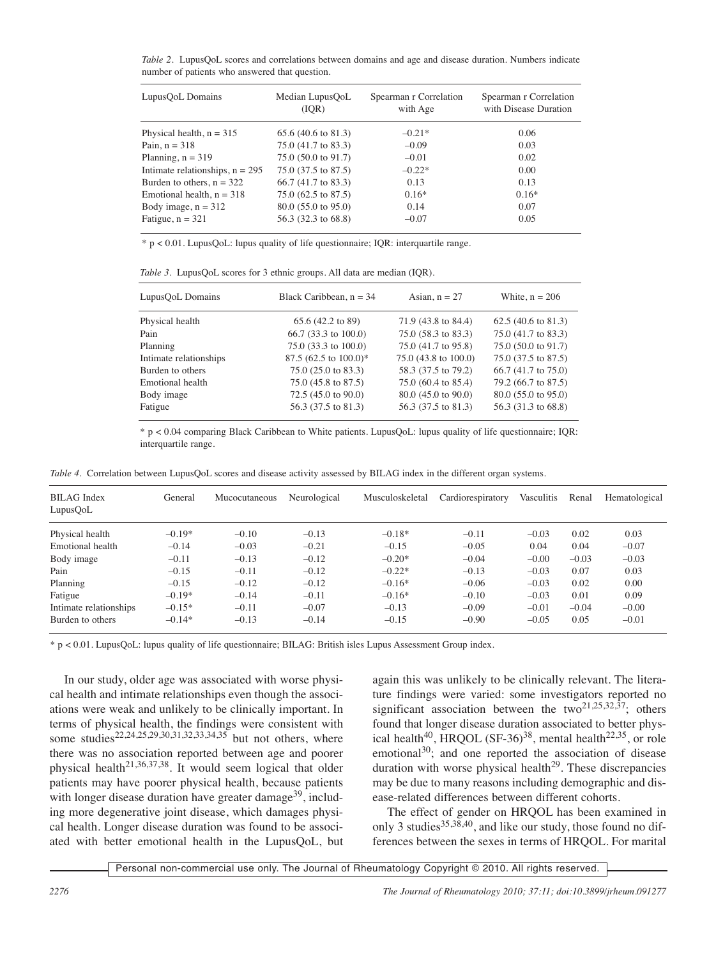*Table 2.* LupusQoL scores and correlations between domains and age and disease duration. Numbers indicate number of patients who answered that question.

| LupusQoL Domains                  | Median LupusQoL<br>(IQR)      | Spearman r Correlation<br>with Age | Spearman r Correlation<br>with Disease Duration |  |  |
|-----------------------------------|-------------------------------|------------------------------------|-------------------------------------------------|--|--|
| Physical health, $n = 315$        | $65.6(40.6 \text{ to } 81.3)$ | $-0.21*$                           | 0.06                                            |  |  |
| Pain, $n = 318$                   | 75.0 (41.7 to 83.3)           | $-0.09$                            | 0.03                                            |  |  |
| Planning, $n = 319$               | 75.0 (50.0 to 91.7)           | $-0.01$                            | 0.02                                            |  |  |
| Intimate relationships, $n = 295$ | 75.0 (37.5 to 87.5)           | $-0.22*$                           | 0.00                                            |  |  |
| Burden to others, $n = 322$       | 66.7 (41.7 to 83.3)           | 0.13                               | 0.13                                            |  |  |
| Emotional health, $n = 318$       | 75.0 (62.5 to 87.5)           | $0.16*$                            | $0.16*$                                         |  |  |
| Body image, $n = 312$             | $80.0$ (55.0 to 95.0)         | 0.14                               | 0.07                                            |  |  |
| Fatigue, $n = 321$                | 56.3 (32.3 to 68.8)           | $-0.07$                            | 0.05                                            |  |  |

\* p < 0.01. LupusQoL: lupus quality of life questionnaire; IQR: interquartile range.

|  |  | Table 3. LupusQoL scores for 3 ethnic groups. All data are median (IQR). |  |  |
|--|--|--------------------------------------------------------------------------|--|--|
|  |  |                                                                          |  |  |

| LupusQoL Domains       | Black Caribbean, $n = 34$      | Asian, $n = 27$      | White, $n = 206$               |  |  |
|------------------------|--------------------------------|----------------------|--------------------------------|--|--|
| Physical health        | 65.6 (42.2 to 89)              | 71.9 (43.8 to 84.4)  | 62.5 $(40.6 \text{ to } 81.3)$ |  |  |
| Pain                   | $66.7$ (33.3 to 100.0)         | 75.0 (58.3 to 83.3)  | 75.0 (41.7 to 83.3)            |  |  |
| Planning               | $75.0$ (33.3 to 100.0)         | 75.0 (41.7 to 95.8)  | 75.0 (50.0 to 91.7)            |  |  |
| Intimate relationships | 87.5 (62.5 to 100.0)*          | 75.0 (43.8 to 100.0) | 75.0 (37.5 to 87.5)            |  |  |
| Burden to others       | $75.0(25.0 \text{ to } 83.3)$  | 58.3 (37.5 to 79.2)  | $66.7$ (41.7 to 75.0)          |  |  |
| Emotional health       | 75.0 (45.8 to 87.5)            | 75.0 (60.4 to 85.4)  | 79.2 (66.7 to 87.5)            |  |  |
| Body image             | 72.5 $(45.0 \text{ to } 90.0)$ | 80.0 (45.0 to 90.0)  | 80.0 (55.0 to 95.0)            |  |  |
| Fatigue                | 56.3 (37.5 to 81.3)            | 56.3 (37.5 to 81.3)  | 56.3 (31.3 to 68.8)            |  |  |

\* p < 0.04 comparing Black Caribbean to White patients. LupusQoL: lupus quality of life questionnaire; IQR: interquartile range.

*Table 4.* Correlation between LupusQoL scores and disease activity assessed by BILAG index in the different organ systems.

| <b>BILAG</b> Index<br>LupusQoL | General  | Mucocutaneous | Neurological | Musculoskeletal | Cardiorespiratory | Vasculitis | Renal   | Hematological |
|--------------------------------|----------|---------------|--------------|-----------------|-------------------|------------|---------|---------------|
| Physical health                | $-0.19*$ | $-0.10$       | $-0.13$      | $-0.18*$        | $-0.11$           | $-0.03$    | 0.02    | 0.03          |
| Emotional health               | $-0.14$  | $-0.03$       | $-0.21$      | $-0.15$         | $-0.05$           | 0.04       | 0.04    | $-0.07$       |
| Body image                     | $-0.11$  | $-0.13$       | $-0.12$      | $-0.20*$        | $-0.04$           | $-0.00$    | $-0.03$ | $-0.03$       |
| Pain                           | $-0.15$  | $-0.11$       | $-0.12$      | $-0.22*$        | $-0.13$           | $-0.03$    | 0.07    | 0.03          |
| Planning                       | $-0.15$  | $-0.12$       | $-0.12$      | $-0.16*$        | $-0.06$           | $-0.03$    | 0.02    | 0.00          |
| Fatigue                        | $-0.19*$ | $-0.14$       | $-0.11$      | $-0.16*$        | $-0.10$           | $-0.03$    | 0.01    | 0.09          |
| Intimate relationships         | $-0.15*$ | $-0.11$       | $-0.07$      | $-0.13$         | $-0.09$           | $-0.01$    | $-0.04$ | $-0.00$       |
| Burden to others               | $-0.14*$ | $-0.13$       | $-0.14$      | $-0.15$         | $-0.90$           | $-0.05$    | 0.05    | $-0.01$       |

\* p < 0.01. LupusQoL: lupus quality of life questionnaire; BILAG: British isles Lupus Assessment Group index.

In our study, older age was associated with worse physical health and intimate relationships even though the associations were weak and unlikely to be clinically important. In terms of physical health, the findings were consistent with some studies<sup>22,24,25,29,30,31,32,33,34,35</sup> but not others, where there was no association reported between age and poorer physical health<sup>21,36,37,38</sup>. It would seem logical that older patients may have poorer physical health, because patients with longer disease duration have greater damage<sup>39</sup>, including more degenerative joint disease, which damages physical health. Longer disease duration was found to be associated with better emotional health in the LupusQoL, but again this was unlikely to be clinically relevant. The literature findings were varied: some investigators reported no significant association between the two<sup>21,25,32,37</sup>; others found that longer disease duration associated to better physical health<sup>40</sup>, HRQOL (SF-36)<sup>38</sup>, mental health<sup>22,35</sup>, or role emotional<sup>30</sup>; and one reported the association of disease duration with worse physical health<sup>29</sup>. These discrepancies may be due to many reasons including demographic and disease-related differences between different cohorts.

The effect of gender on HRQOL has been examined in only 3 studies<sup>35,38,40</sup>, and like our study, those found no differences between the sexes in terms of HRQOL. For marital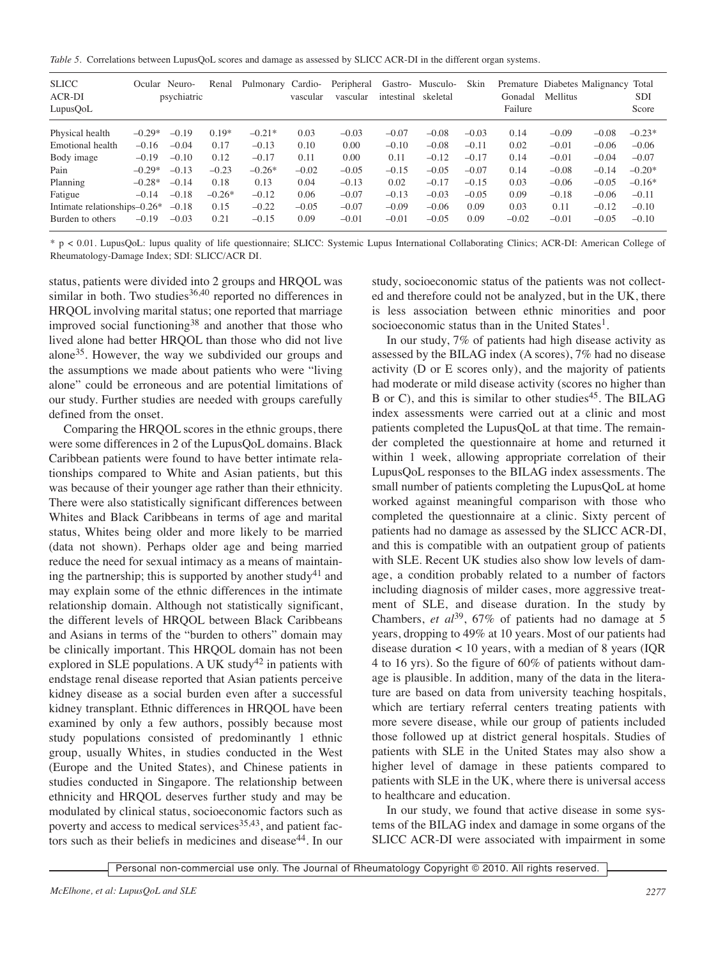*Table 5.* Correlations between LupusQoL scores and damage as assessed by SLICC ACR-DI in the different organ systems.

| <b>SLICC</b><br>ACR-DI<br>LupusQoL |          | Ocular Neuro-<br>psychiatric | Renal    | Pulmonary Cardio- | vascular | Peripheral<br>vascular | Gastro-<br>intestinal | Musculo-<br>skeletal | Skin    | Gonadal<br>Failure | <b>Mellitus</b> | Premature Diabetes Malignancy | Total<br><b>SDI</b><br>Score |
|------------------------------------|----------|------------------------------|----------|-------------------|----------|------------------------|-----------------------|----------------------|---------|--------------------|-----------------|-------------------------------|------------------------------|
| Physical health                    | $-0.29*$ | $-0.19$                      | $0.19*$  | $-0.21*$          | 0.03     | $-0.03$                | $-0.07$               | $-0.08$              | $-0.03$ | 0.14               | $-0.09$         | $-0.08$                       | $-0.23*$                     |
| Emotional health                   | $-0.16$  | $-0.04$                      | 0.17     | $-0.13$           | 0.10     | 0.00                   | $-0.10$               | $-0.08$              | $-0.11$ | 0.02               | $-0.01$         | $-0.06$                       | $-0.06$                      |
| Body image                         | $-0.19$  | $-0.10$                      | 0.12     | $-0.17$           | 0.11     | 0.00                   | 0.11                  | $-0.12$              | $-0.17$ | 0.14               | $-0.01$         | $-0.04$                       | $-0.07$                      |
| Pain                               | $-0.29*$ | $-0.13$                      | $-0.23$  | $-0.26*$          | $-0.02$  | $-0.05$                | $-0.15$               | $-0.05$              | $-0.07$ | 0.14               | $-0.08$         | $-0.14$                       | $-0.20*$                     |
| Planning                           | $-0.28*$ | $-0.14$                      | 0.18     | 0.13              | 0.04     | $-0.13$                | 0.02                  | $-0.17$              | $-0.15$ | 0.03               | $-0.06$         | $-0.05$                       | $-0.16*$                     |
| Fatigue                            | $-0.14$  | $-0.18$                      | $-0.26*$ | $-0.12$           | 0.06     | $-0.07$                | $-0.13$               | $-0.03$              | $-0.05$ | 0.09               | $-0.18$         | $-0.06$                       | $-0.11$                      |
| Intimate relationships $-0.26*$    |          | $-0.18$                      | 0.15     | $-0.22$           | $-0.05$  | $-0.07$                | $-0.09$               | $-0.06$              | 0.09    | 0.03               | 0.11            | $-0.12$                       | $-0.10$                      |
| Burden to others                   | $-0.19$  | $-0.03$                      | 0.21     | $-0.15$           | 0.09     | $-0.01$                | $-0.01$               | $-0.05$              | 0.09    | $-0.02$            | $-0.01$         | $-0.05$                       | $-0.10$                      |

\* p < 0.01. LupusQoL: lupus quality of life questionnaire; SLICC: Systemic Lupus International Collaborating Clinics; ACR-DI: American College of Rheumatology-Damage Index; SDI: SLICC/ACR DI.

status, patients were divided into 2 groups and HRQOL was similar in both. Two studies $36,40$  reported no differences in HRQOL involving marital status; one reported that marriage improved social functioning38 and another that those who lived alone had better HRQOL than those who did not live alone35. However, the way we subdivided our groups and the assumptions we made about patients who were "living alone" could be erroneous and are potential limitations of our study. Further studies are needed with groups carefully defined from the onset.

Comparing the HRQOL scores in the ethnic groups, there were some differences in 2 of the LupusQoL domains. Black Caribbean patients were found to have better intimate relationships compared to White and Asian patients, but this was because of their younger age rather than their ethnicity. There were also statistically significant differences between Whites and Black Caribbeans in terms of age and marital status, Whites being older and more likely to be married (data not shown). Perhaps older age and being married reduce the need for sexual intimacy as a means of maintaining the partnership; this is supported by another study<sup>41</sup> and may explain some of the ethnic differences in the intimate relationship domain. Although not statistically significant, the different levels of HRQOL between Black Caribbeans and Asians in terms of the "burden to others" domain may be clinically important. This HRQOL domain has not been explored in SLE populations. A UK study<sup>42</sup> in patients with endstage renal disease reported that Asian patients perceive kidney disease as a social burden even after a successful kidney transplant. Ethnic differences in HRQOL have been examined by only a few authors, possibly because most study populations consisted of predominantly 1 ethnic group, usually Whites, in studies conducted in the West (Europe and the United States), and Chinese patients in studies conducted in Singapore. The relationship between ethnicity and HRQOL deserves further study and may be modulated by clinical status, socioeconomic factors such as poverty and access to medical services $35,43$ , and patient factors such as their beliefs in medicines and disease<sup>44</sup>. In our

study, socioeconomic status of the patients was not collected and therefore could not be analyzed, but in the UK, there is less association between ethnic minorities and poor socioeconomic status than in the United States<sup>1</sup>.

In our study, 7% of patients had high disease activity as assessed by the BILAG index (A scores), 7% had no disease activity (D or E scores only), and the majority of patients had moderate or mild disease activity (scores no higher than B or C), and this is similar to other studies<sup>45</sup>. The BILAG index assessments were carried out at a clinic and most patients completed the LupusQoL at that time. The remainder completed the questionnaire at home and returned it within 1 week, allowing appropriate correlation of their LupusQoL responses to the BILAG index assessments. The small number of patients completing the LupusQoL at home worked against meaningful comparison with those who completed the questionnaire at a clinic. Sixty percent of patients had no damage as assessed by the SLICC ACR-DI, and this is compatible with an outpatient group of patients with SLE. Recent UK studies also show low levels of damage, a condition probably related to a number of factors including diagnosis of milder cases, more aggressive treatment of SLE, and disease duration. In the study by Chambers, *et al* 39, 67% of patients had no damage at 5 years, dropping to 49% at 10 years. Most of our patients had disease duration < 10 years, with a median of 8 years (IQR 4 to 16 yrs). So the figure of 60% of patients without damage is plausible. In addition, many of the data in the literature are based on data from university teaching hospitals, which are tertiary referral centers treating patients with more severe disease, while our group of patients included those followed up at district general hospitals. Studies of patients with SLE in the United States may also show a higher level of damage in these patients compared to patients with SLE in the UK, where there is universal access to healthcare and education.

In our study, we found that active disease in some systems of the BILAG index and damage in some organs of the SLICC ACR-DI were associated with impairment in some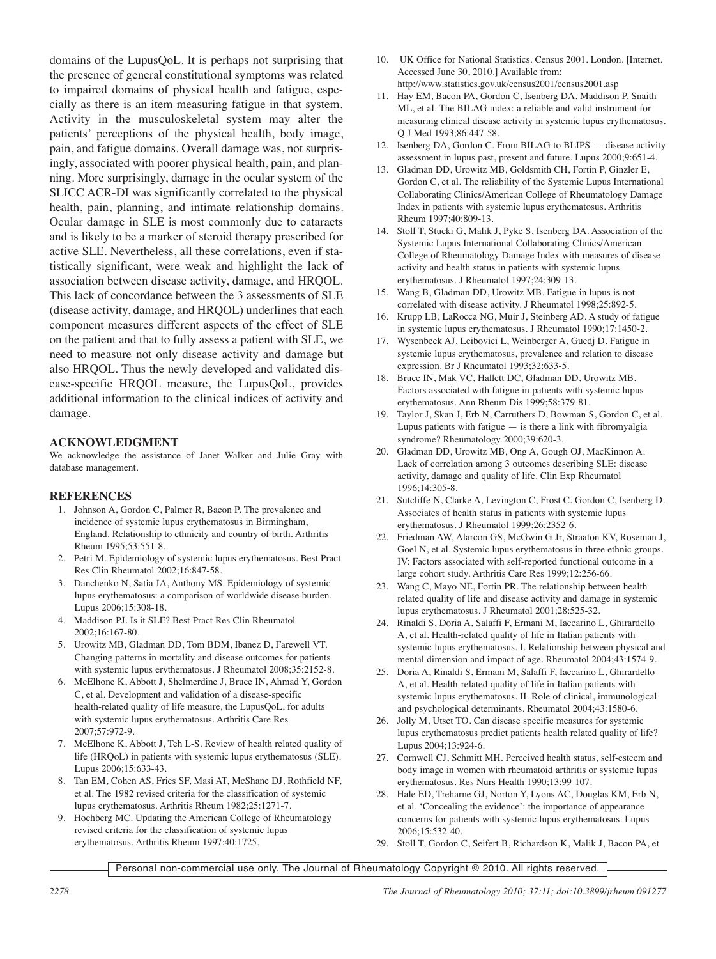domains of the LupusQoL. It is perhaps not surprising that the presence of general constitutional symptoms was related to impaired domains of physical health and fatigue, especially as there is an item measuring fatigue in that system. Activity in the musculoskeletal system may alter the patients' perceptions of the physical health, body image, pain, and fatigue domains. Overall damage was, not surprisingly, associated with poorer physical health, pain, and planning. More surprisingly, damage in the ocular system of the SLICC ACR-DI was significantly correlated to the physical health, pain, planning, and intimate relationship domains. Ocular damage in SLE is most commonly due to cataracts and is likely to be a marker of steroid therapy prescribed for active SLE. Nevertheless, all these correlations, even if statistically significant, were weak and highlight the lack of association between disease activity, damage, and HRQOL. This lack of concordance between the 3 assessments of SLE (disease activity, damage, and HRQOL) underlines that each component measures different aspects of the effect of SLE on the patient and that to fully assess a patient with SLE, we need to measure not only disease activity and damage but also HRQOL. Thus the newly developed and validated disease-specific HRQOL measure, the LupusQoL, provides additional information to the clinical indices of activity and damage.

# **ACKNOWLEDGMENT**

We acknowledge the assistance of Janet Walker and Julie Gray with database management.

# **REFERENCES**

- 1. Johnson A, Gordon C, Palmer R, Bacon P. The prevalence and incidence of systemic lupus erythematosus in Birmingham, England. Relationship to ethnicity and country of birth. Arthritis Rheum 1995;53:551-8.
- 2. Petri M. Epidemiology of systemic lupus erythematosus. Best Pract Res Clin Rheumatol 2002;16:847-58.
- 3. Danchenko N, Satia JA, Anthony MS. Epidemiology of systemic lupus erythematosus: a comparison of worldwide disease burden. Lupus 2006;15:308-18.
- 4. Maddison PJ. Is it SLE? Best Pract Res Clin Rheumatol 2002;16:167-80.
- 5. Urowitz MB, Gladman DD, Tom BDM, Ibanez D, Farewell VT. Changing patterns in mortality and disease outcomes for patients with systemic lupus erythematosus. J Rheumatol 2008;35:2152-8.
- 6. McElhone K, Abbott J, Shelmerdine J, Bruce IN, Ahmad Y, Gordon C, et al. Development and validation of a disease-specific health-related quality of life measure, the LupusQoL, for adults with systemic lupus erythematosus. Arthritis Care Res 2007;57:972-9.
- 7. McElhone K, Abbott J, Teh L-S. Review of health related quality of life (HRQoL) in patients with systemic lupus erythematosus (SLE). Lupus 2006;15:633-43.
- 8. Tan EM, Cohen AS, Fries SF, Masi AT, McShane DJ, Rothfield NF, et al. The 1982 revised criteria for the classification of systemic lupus erythematosus. Arthritis Rheum 1982;25:1271-7.
- 9. Hochberg MC. Updating the American College of Rheumatology revised criteria for the classification of systemic lupus erythematosus. Arthritis Rheum 1997;40:1725.
- 10. UK Office for National Statistics. Census 2001. London. [Internet. Accessed June 30, 2010.] Available from: http://www.statistics.gov.uk/census2001/census2001.asp
- 11. Hay EM, Bacon PA, Gordon C, Isenberg DA, Maddison P, Snaith ML, et al. The BILAG index: a reliable and valid instrument for measuring clinical disease activity in systemic lupus erythematosus. Q J Med 1993;86:447-58.
- 12. Isenberg DA, Gordon C. From BILAG to BLIPS disease activity assessment in lupus past, present and future. Lupus 2000;9:651-4.
- 13. Gladman DD, Urowitz MB, Goldsmith CH, Fortin P, Ginzler E, Gordon C, et al. The reliability of the Systemic Lupus International Collaborating Clinics/American College of Rheumatology Damage Index in patients with systemic lupus erythematosus. Arthritis Rheum 1997;40:809-13.
- 14. Stoll T, Stucki G, Malik J, Pyke S, Isenberg DA. Association of the Systemic Lupus International Collaborating Clinics/American College of Rheumatology Damage Index with measures of disease activity and health status in patients with systemic lupus erythematosus. J Rheumatol 1997;24:309-13.
- 15. Wang B, Gladman DD, Urowitz MB. Fatigue in lupus is not correlated with disease activity. J Rheumatol 1998;25:892-5.
- 16. Krupp LB, LaRocca NG, Muir J, Steinberg AD. A study of fatigue in systemic lupus erythematosus. J Rheumatol 1990;17:1450-2.
- 17. Wysenbeek AJ, Leibovici L, Weinberger A, Guedj D. Fatigue in systemic lupus erythematosus, prevalence and relation to disease expression. Br J Rheumatol 1993;32:633-5.
- 18. Bruce IN, Mak VC, Hallett DC, Gladman DD, Urowitz MB. Factors associated with fatigue in patients with systemic lupus erythematosus. Ann Rheum Dis 1999;58:379-81.
- 19. Taylor J, Skan J, Erb N, Carruthers D, Bowman S, Gordon C, et al. Lupus patients with fatigue  $-$  is there a link with fibromyalgia syndrome? Rheumatology 2000;39:620-3.
- 20. Gladman DD, Urowitz MB, Ong A, Gough OJ, MacKinnon A. Lack of correlation among 3 outcomes describing SLE: disease activity, damage and quality of life. Clin Exp Rheumatol 1996;14:305-8.
- 21. Sutcliffe N, Clarke A, Levington C, Frost C, Gordon C, Isenberg D. Associates of health status in patients with systemic lupus erythematosus. J Rheumatol 1999;26:2352-6.
- 22. Friedman AW, Alarcon GS, McGwin G Jr, Straaton KV, Roseman J, Goel N, et al. Systemic lupus erythematosus in three ethnic groups. IV: Factors associated with self-reported functional outcome in a large cohort study. Arthritis Care Res 1999;12:256-66.
- 23. Wang C, Mayo NE, Fortin PR. The relationship between health related quality of life and disease activity and damage in systemic lupus erythematosus. J Rheumatol 2001;28:525-32.
- 24. Rinaldi S, Doria A, Salaffi F, Ermani M, Iaccarino L, Ghirardello A, et al. Health-related quality of life in Italian patients with systemic lupus erythematosus. I. Relationship between physical and mental dimension and impact of age. Rheumatol 2004;43:1574-9.
- 25. Doria A, Rinaldi S, Ermani M, Salaffi F, Iaccarino L, Ghirardello A, et al. Health-related quality of life in Italian patients with systemic lupus erythematosus. II. Role of clinical, immunological and psychological determinants. Rheumatol 2004;43:1580-6.
- 26. Jolly M, Utset TO. Can disease specific measures for systemic lupus erythematosus predict patients health related quality of life? Lupus 2004;13:924-6.
- 27. Cornwell CJ, Schmitt MH. Perceived health status, self-esteem and body image in women with rheumatoid arthritis or systemic lupus erythematosus. Res Nurs Health 1990;13:99-107.
- 28. Hale ED, Treharne GJ, Norton Y, Lyons AC, Douglas KM, Erb N, et al. 'Concealing the evidence': the importance of appearance concerns for patients with systemic lupus erythematosus. Lupus 2006;15:532-40.
- 29. Stoll T, Gordon C, Seifert B, Richardson K, Malik J, Bacon PA, et